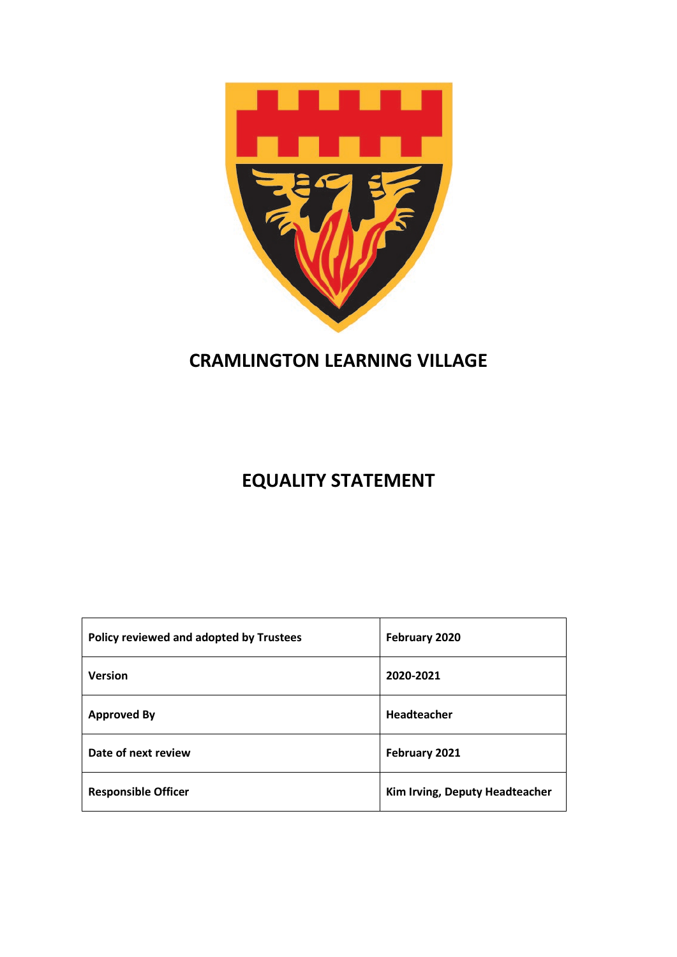

# **CRAMLINGTON LEARNING VILLAGE**

# **EQUALITY STATEMENT**

| Policy reviewed and adopted by Trustees | February 2020                  |
|-----------------------------------------|--------------------------------|
| <b>Version</b>                          | 2020-2021                      |
| <b>Approved By</b>                      | Headteacher                    |
| Date of next review                     | February 2021                  |
| <b>Responsible Officer</b>              | Kim Irving, Deputy Headteacher |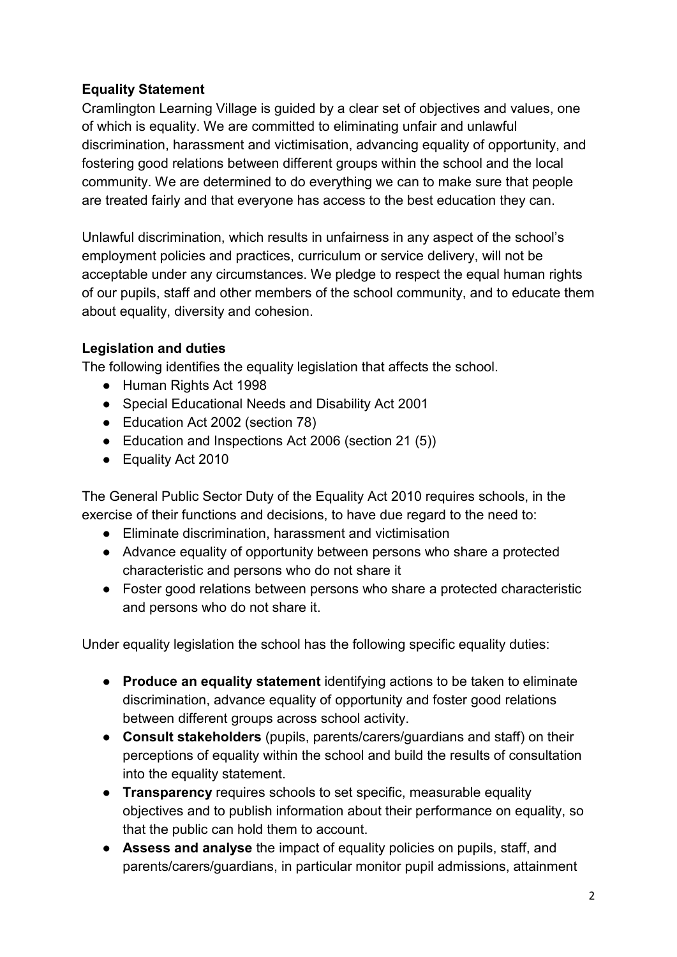# **Equality Statement**

Cramlington Learning Village is guided by a clear set of objectives and values, one of which is equality. We are committed to eliminating unfair and unlawful discrimination, harassment and victimisation, advancing equality of opportunity, and fostering good relations between different groups within the school and the local community. We are determined to do everything we can to make sure that people are treated fairly and that everyone has access to the best education they can.

Unlawful discrimination, which results in unfairness in any aspect of the school's employment policies and practices, curriculum or service delivery, will not be acceptable under any circumstances. We pledge to respect the equal human rights of our pupils, staff and other members of the school community, and to educate them about equality, diversity and cohesion.

#### **Legislation and duties**

The following identifies the equality legislation that affects the school.

- Human Rights Act 1998
- Special Educational Needs and Disability Act 2001
- Education Act 2002 (section 78)
- Education and Inspections Act 2006 (section 21 (5))
- Equality Act 2010

The General Public Sector Duty of the Equality Act 2010 requires schools, in the exercise of their functions and decisions, to have due regard to the need to:

- Eliminate discrimination, harassment and victimisation
- Advance equality of opportunity between persons who share a protected characteristic and persons who do not share it
- Foster good relations between persons who share a protected characteristic and persons who do not share it.

Under equality legislation the school has the following specific equality duties:

- **Produce an equality statement** identifying actions to be taken to eliminate discrimination, advance equality of opportunity and foster good relations between different groups across school activity.
- **Consult stakeholders** (pupils, parents/carers/guardians and staff) on their perceptions of equality within the school and build the results of consultation into the equality statement.
- **Transparency** requires schools to set specific, measurable equality objectives and to publish information about their performance on equality, so that the public can hold them to account.
- **Assess and analyse** the impact of equality policies on pupils, staff, and parents/carers/guardians, in particular monitor pupil admissions, attainment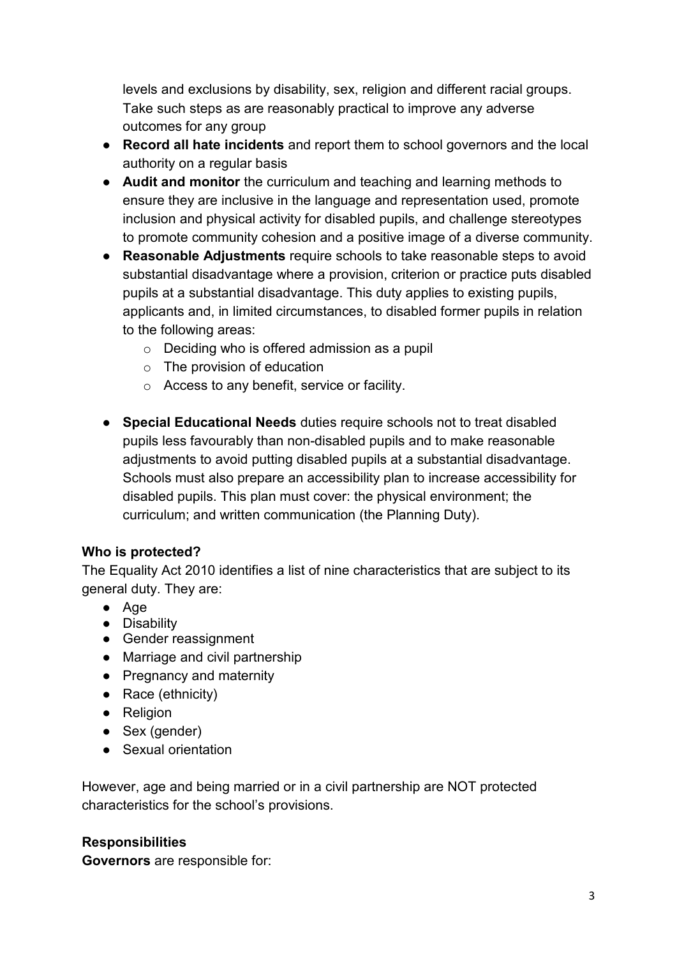levels and exclusions by disability, sex, religion and different racial groups. Take such steps as are reasonably practical to improve any adverse outcomes for any group

- **Record all hate incidents** and report them to school governors and the local authority on a regular basis
- **Audit and monitor** the curriculum and teaching and learning methods to ensure they are inclusive in the language and representation used, promote inclusion and physical activity for disabled pupils, and challenge stereotypes to promote community cohesion and a positive image of a diverse community.
- **Reasonable Adjustments** require schools to take reasonable steps to avoid substantial disadvantage where a provision, criterion or practice puts disabled pupils at a substantial disadvantage. This duty applies to existing pupils, applicants and, in limited circumstances, to disabled former pupils in relation to the following areas:
	- o Deciding who is offered admission as a pupil
	- o The provision of education
	- o Access to any benefit, service or facility.
- **Special Educational Needs** duties require schools not to treat disabled pupils less favourably than non-disabled pupils and to make reasonable adjustments to avoid putting disabled pupils at a substantial disadvantage. Schools must also prepare an accessibility plan to increase accessibility for disabled pupils. This plan must cover: the physical environment; the curriculum; and written communication (the Planning Duty).

#### **Who is protected?**

The Equality Act 2010 identifies a list of nine characteristics that are subject to its general duty. They are:

- Age
- Disability
- Gender reassignment
- Marriage and civil partnership
- Pregnancy and maternity
- Race (ethnicity)
- Religion
- Sex (gender)
- Sexual orientation

However, age and being married or in a civil partnership are NOT protected characteristics for the school's provisions.

#### **Responsibilities**

**Governors** are responsible for: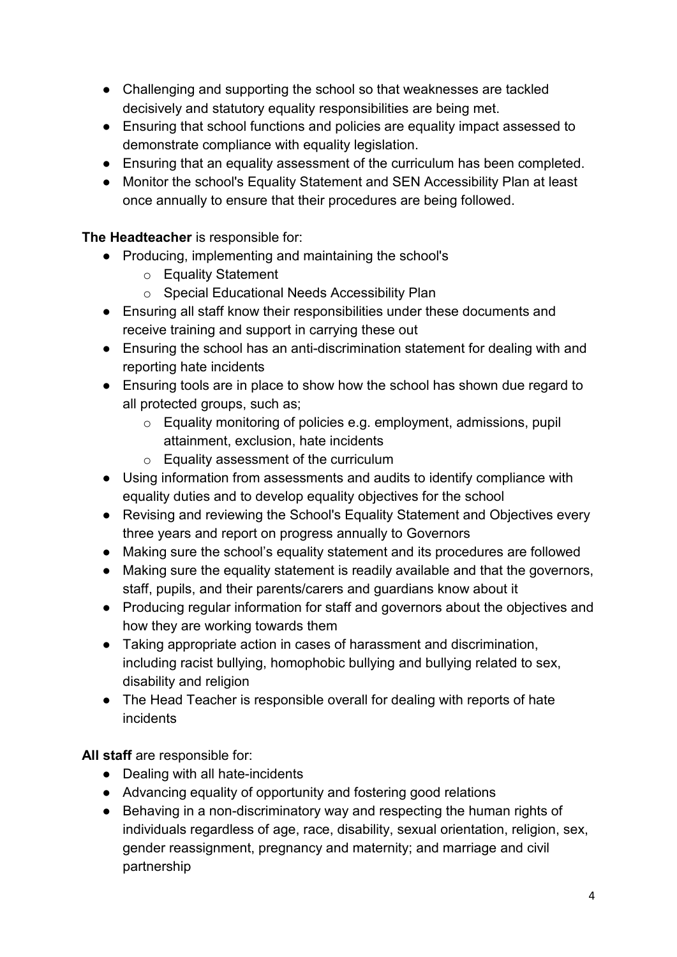- Challenging and supporting the school so that weaknesses are tackled decisively and statutory equality responsibilities are being met.
- Ensuring that school functions and policies are equality impact assessed to demonstrate compliance with equality legislation.
- Ensuring that an equality assessment of the curriculum has been completed.
- Monitor the school's Equality Statement and SEN Accessibility Plan at least once annually to ensure that their procedures are being followed.

### **The Headteacher** is responsible for:

- Producing, implementing and maintaining the school's
	- o Equality Statement
	- o Special Educational Needs Accessibility Plan
- Ensuring all staff know their responsibilities under these documents and receive training and support in carrying these out
- Ensuring the school has an anti-discrimination statement for dealing with and reporting hate incidents
- Ensuring tools are in place to show how the school has shown due regard to all protected groups, such as;
	- o Equality monitoring of policies e.g. employment, admissions, pupil attainment, exclusion, hate incidents
	- o Equality assessment of the curriculum
- Using information from assessments and audits to identify compliance with equality duties and to develop equality objectives for the school
- Revising and reviewing the School's Equality Statement and Objectives every three years and report on progress annually to Governors
- Making sure the school's equality statement and its procedures are followed
- Making sure the equality statement is readily available and that the governors, staff, pupils, and their parents/carers and guardians know about it
- Producing regular information for staff and governors about the objectives and how they are working towards them
- Taking appropriate action in cases of harassment and discrimination, including racist bullying, homophobic bullying and bullying related to sex, disability and religion
- The Head Teacher is responsible overall for dealing with reports of hate incidents

**All staff** are responsible for:

- Dealing with all hate-incidents
- Advancing equality of opportunity and fostering good relations
- Behaving in a non-discriminatory way and respecting the human rights of individuals regardless of age, race, disability, sexual orientation, religion, sex, gender reassignment, pregnancy and maternity; and marriage and civil partnership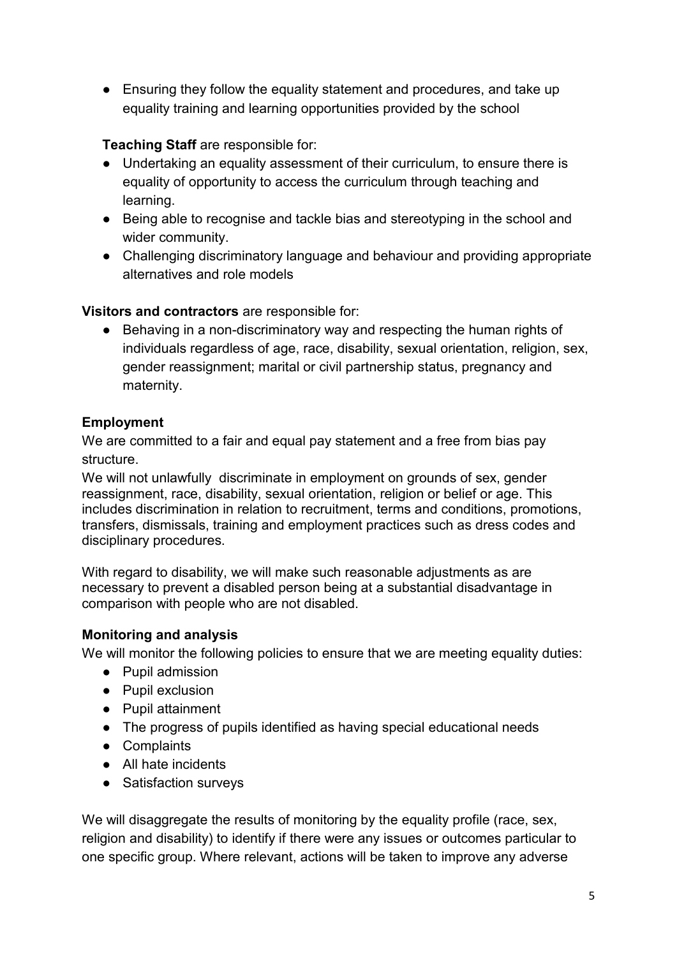● Ensuring they follow the equality statement and procedures, and take up equality training and learning opportunities provided by the school

# **Teaching Staff** are responsible for:

- Undertaking an equality assessment of their curriculum, to ensure there is equality of opportunity to access the curriculum through teaching and learning.
- Being able to recognise and tackle bias and stereotyping in the school and wider community.
- Challenging discriminatory language and behaviour and providing appropriate alternatives and role models

#### **Visitors and contractors** are responsible for:

● Behaving in a non-discriminatory way and respecting the human rights of individuals regardless of age, race, disability, sexual orientation, religion, sex, gender reassignment; marital or civil partnership status, pregnancy and maternity.

#### **Employment**

We are committed to a fair and equal pay statement and a free from bias pay structure.

We will not unlawfully discriminate in employment on grounds of sex, gender reassignment, race, disability, sexual orientation, religion or belief or age. This includes discrimination in relation to recruitment, terms and conditions, promotions, transfers, dismissals, training and employment practices such as dress codes and disciplinary procedures.

With regard to disability, we will make such reasonable adjustments as are necessary to prevent a disabled person being at a substantial disadvantage in comparison with people who are not disabled.

# **Monitoring and analysis**

We will monitor the following policies to ensure that we are meeting equality duties:

- Pupil admission
- Pupil exclusion
- Pupil attainment
- The progress of pupils identified as having special educational needs
- Complaints
- All hate incidents
- Satisfaction surveys

We will disaggregate the results of monitoring by the equality profile (race, sex, religion and disability) to identify if there were any issues or outcomes particular to one specific group. Where relevant, actions will be taken to improve any adverse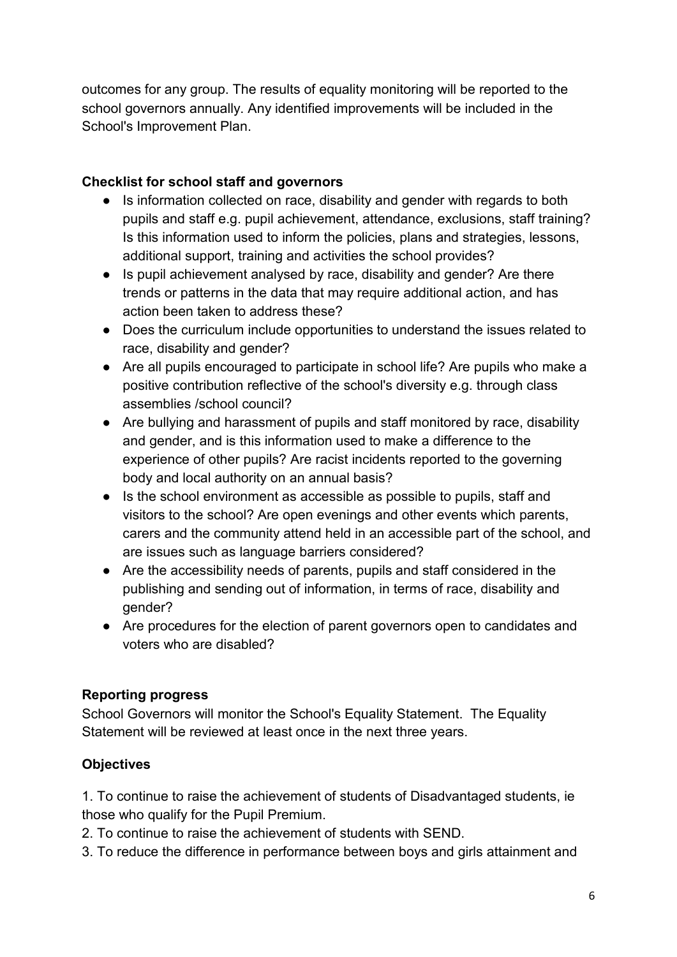outcomes for any group. The results of equality monitoring will be reported to the school governors annually. Any identified improvements will be included in the School's Improvement Plan.

### **Checklist for school staff and governors**

- Is information collected on race, disability and gender with regards to both pupils and staff e.g. pupil achievement, attendance, exclusions, staff training? Is this information used to inform the policies, plans and strategies, lessons, additional support, training and activities the school provides?
- Is pupil achievement analysed by race, disability and gender? Are there trends or patterns in the data that may require additional action, and has action been taken to address these?
- Does the curriculum include opportunities to understand the issues related to race, disability and gender?
- Are all pupils encouraged to participate in school life? Are pupils who make a positive contribution reflective of the school's diversity e.g. through class assemblies /school council?
- Are bullying and harassment of pupils and staff monitored by race, disability and gender, and is this information used to make a difference to the experience of other pupils? Are racist incidents reported to the governing body and local authority on an annual basis?
- Is the school environment as accessible as possible to pupils, staff and visitors to the school? Are open evenings and other events which parents, carers and the community attend held in an accessible part of the school, and are issues such as language barriers considered?
- Are the accessibility needs of parents, pupils and staff considered in the publishing and sending out of information, in terms of race, disability and gender?
- Are procedures for the election of parent governors open to candidates and voters who are disabled?

# **Reporting progress**

School Governors will monitor the School's Equality Statement. The Equality Statement will be reviewed at least once in the next three years.

# **Objectives**

1. To continue to raise the achievement of students of Disadvantaged students, ie those who qualify for the Pupil Premium.

- 2. To continue to raise the achievement of students with SEND.
- 3. To reduce the difference in performance between boys and girls attainment and